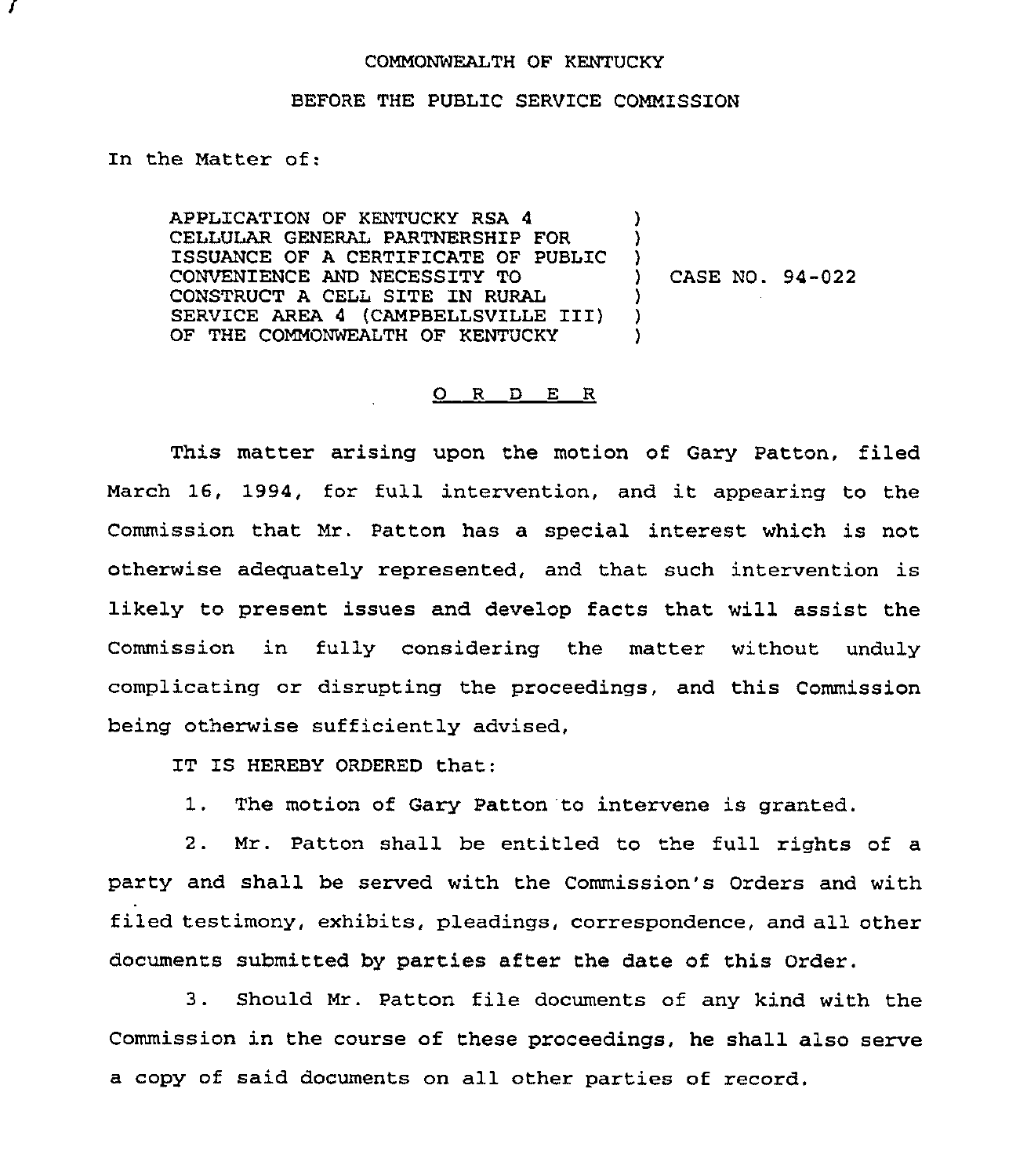## COMMONWEALTH OF KENTUCKY

## BEFORE THE PUBLIC SERVICE COMMISSION

In the Matter of:

APPLICATION OF KENTUCKY RSA 4 CELLULAR GENERAL PARTNERSHIP FOR ISSUANCE OF A CERTIFICATE OF PUBLIC CONVENIENCE AND NECESSITY TO CONSTRUCT A CELL SITE IN RURAL SERVICE AREA 4 (CAMPBELLSVILLE III) OF THE COMMONWEALTH OF KENTUCKY ) ) )<br>) ) CASE NO. 94-022 ) ) )

## 0 <sup>R</sup> <sup>D</sup> E <sup>R</sup>

This matter arising upon the motion of Gary Patton, filed March 16, 1994, for full intervention, and it appearing to the Commission that Mr. Patton has a special interest which is not otherwise adequately represented, and that such intervention is likely to present issues and develop facts that will assist the Commission in fully considering the matter without unduly complicating or disrupting the proceedings, and this Commission being otherwise sufficiently advised,

IT IS HEREBY ORDERED that:

1. The motion of Gary Patton 'to intervene is granted.

2. Mr. Patton shall be entitled to the full rights of a party and shall be served with the Commission's Orders and with filed testimony, exhibits, pleadings, correspondence, and all other documents submitted by parties after the date of this Order.

<sup>3</sup> . Should Mr. Patton file documents of any kind with the Commission in the course of these proceedings, he shall also serve a copy of said documents on all other parties of record.